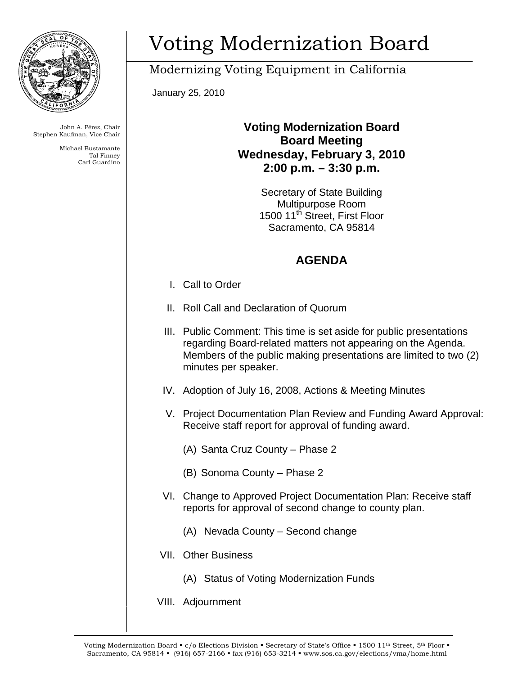

John A. Pérez, Chair Stephen Kaufman, Vice Chair

> Michael Bustamante Tal Finney Carl Guardino

## Voting Modernization Board

Modernizing Voting Equipment in California

January 25, 2010

## **Voting Modernization Board Board Meeting Wednesday, February 3, 2010 2:00 p.m. – 3:30 p.m.**

Secretary of State Building Multipurpose Room 1500 11<sup>th</sup> Street, First Floor Sacramento, CA 95814

## **AGENDA**

- I. Call to Order
- II. Roll Call and Declaration of Quorum
- III. Public Comment: This time is set aside for public presentations regarding Board-related matters not appearing on the Agenda. Members of the public making presentations are limited to two (2) minutes per speaker.
- IV. Adoption of July 16, 2008, Actions & Meeting Minutes
- V. Project Documentation Plan Review and Funding Award Approval: Receive staff report for approval of funding award.
	- (A) Santa Cruz County Phase 2
	- (B) Sonoma County Phase 2
- VI. Change to Approved Project Documentation Plan: Receive staff reports for approval of second change to county plan.
	- (A) Nevada County Second change
- VII. Other Business
	- (A) Status of Voting Modernization Funds
- VIII. Adjournment